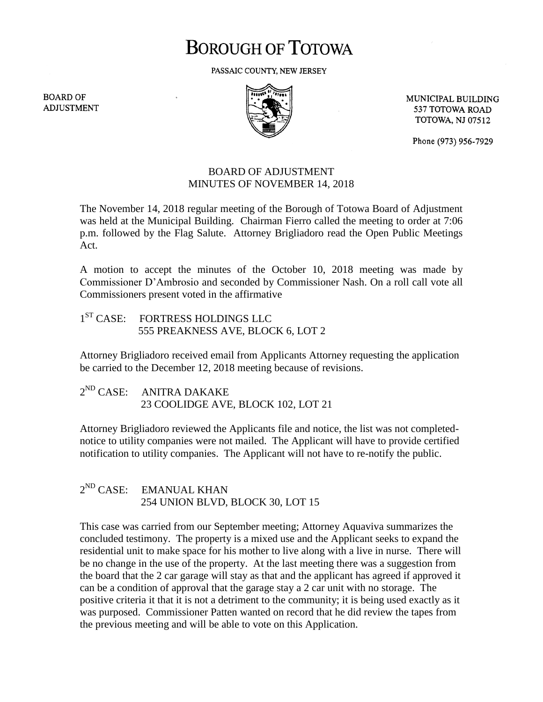## **BOROUGH OF TOTOWA**

PASSAIC COUNTY, NEW JERSEY

**BOARD OF ADJUSTMENT** 



MUNICIPAL BUILDING 537 TOTOWA ROAD **TOTOWA, NJ 07512** 

Phone (973) 956-7929

## BOARD OF ADJUSTMENT MINUTES OF NOVEMBER 14, 2018

The November 14, 2018 regular meeting of the Borough of Totowa Board of Adjustment was held at the Municipal Building. Chairman Fierro called the meeting to order at 7:06 p.m. followed by the Flag Salute. Attorney Brigliadoro read the Open Public Meetings Act.

A motion to accept the minutes of the October 10, 2018 meeting was made by Commissioner D'Ambrosio and seconded by Commissioner Nash. On a roll call vote all Commissioners present voted in the affirmative

1<sup>ST</sup> CASE: FORTRESS HOLDINGS LLC 555 PREAKNESS AVE, BLOCK 6, LOT 2

Attorney Brigliadoro received email from Applicants Attorney requesting the application be carried to the December 12, 2018 meeting because of revisions.

 $2^{ND}$  CASE: ANITRA DAKAKE 23 COOLIDGE AVE, BLOCK 102, LOT 21

Attorney Brigliadoro reviewed the Applicants file and notice, the list was not completednotice to utility companies were not mailed. The Applicant will have to provide certified notification to utility companies. The Applicant will not have to re-notify the public.

## $2^{ND}$  CASE: EMANUAL KHAN 254 UNION BLVD, BLOCK 30, LOT 15

This case was carried from our September meeting; Attorney Aquaviva summarizes the concluded testimony. The property is a mixed use and the Applicant seeks to expand the residential unit to make space for his mother to live along with a live in nurse. There will be no change in the use of the property. At the last meeting there was a suggestion from the board that the 2 car garage will stay as that and the applicant has agreed if approved it can be a condition of approval that the garage stay a 2 car unit with no storage. The positive criteria it that it is not a detriment to the community; it is being used exactly as it was purposed. Commissioner Patten wanted on record that he did review the tapes from the previous meeting and will be able to vote on this Application.